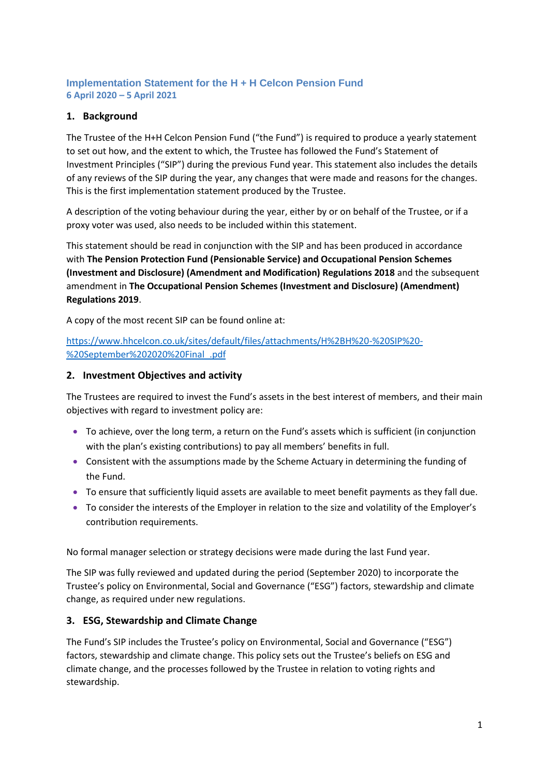## **Implementation Statement for the H + H Celcon Pension Fund 6 April 2020 – 5 April 2021**

## **1. Background**

The Trustee of the H+H Celcon Pension Fund ("the Fund") is required to produce a yearly statement to set out how, and the extent to which, the Trustee has followed the Fund's Statement of Investment Principles ("SIP") during the previous Fund year. This statement also includes the details of any reviews of the SIP during the year, any changes that were made and reasons for the changes. This is the first implementation statement produced by the Trustee.

A description of the voting behaviour during the year, either by or on behalf of the Trustee, or if a proxy voter was used, also needs to be included within this statement.

This statement should be read in conjunction with the SIP and has been produced in accordance with **The Pension Protection Fund (Pensionable Service) and Occupational Pension Schemes (Investment and Disclosure) (Amendment and Modification) Regulations 2018** and the subsequent amendment in **The Occupational Pension Schemes (Investment and Disclosure) (Amendment) Regulations 2019**.

A copy of the most recent SIP can be found online at:

## [https://www.hhcelcon.co.uk/sites/default/files/attachments/H%2BH%20-%20SIP%20-](https://www.hhcelcon.co.uk/sites/default/files/attachments/H%2BH%20-%20SIP%20-%20September%202020%20Final_.pdf) [%20September%202020%20Final\\_.pdf](https://www.hhcelcon.co.uk/sites/default/files/attachments/H%2BH%20-%20SIP%20-%20September%202020%20Final_.pdf)

## **2. Investment Objectives and activity**

The Trustees are required to invest the Fund's assets in the best interest of members, and their main objectives with regard to investment policy are:

- To achieve, over the long term, a return on the Fund's assets which is sufficient (in conjunction with the plan's existing contributions) to pay all members' benefits in full.
- Consistent with the assumptions made by the Scheme Actuary in determining the funding of the Fund.
- To ensure that sufficiently liquid assets are available to meet benefit payments as they fall due.
- To consider the interests of the Employer in relation to the size and volatility of the Employer's contribution requirements.

No formal manager selection or strategy decisions were made during the last Fund year.

The SIP was fully reviewed and updated during the period (September 2020) to incorporate the Trustee's policy on Environmental, Social and Governance ("ESG") factors, stewardship and climate change, as required under new regulations.

## **3. ESG, Stewardship and Climate Change**

The Fund's SIP includes the Trustee's policy on Environmental, Social and Governance ("ESG") factors, stewardship and climate change. This policy sets out the Trustee's beliefs on ESG and climate change, and the processes followed by the Trustee in relation to voting rights and stewardship.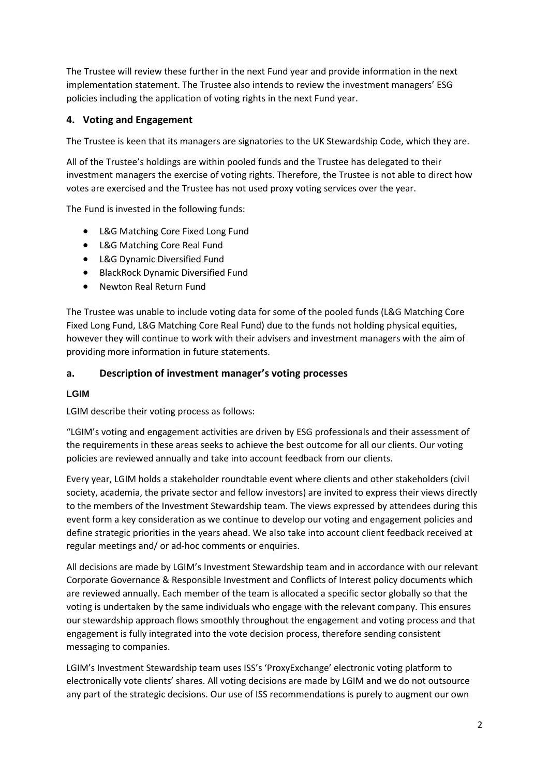The Trustee will review these further in the next Fund year and provide information in the next implementation statement. The Trustee also intends to review the investment managers' ESG policies including the application of voting rights in the next Fund year.

# **4. Voting and Engagement**

The Trustee is keen that its managers are signatories to the UK Stewardship Code, which they are.

All of the Trustee's holdings are within pooled funds and the Trustee has delegated to their investment managers the exercise of voting rights. Therefore, the Trustee is not able to direct how votes are exercised and the Trustee has not used proxy voting services over the year.

The Fund is invested in the following funds:

- L&G Matching Core Fixed Long Fund
- L&G Matching Core Real Fund
- L&G Dynamic Diversified Fund
- BlackRock Dynamic Diversified Fund
- Newton Real Return Fund

The Trustee was unable to include voting data for some of the pooled funds (L&G Matching Core Fixed Long Fund, L&G Matching Core Real Fund) due to the funds not holding physical equities, however they will continue to work with their advisers and investment managers with the aim of providing more information in future statements.

## **a. Description of investment manager's voting processes**

### **LGIM**

LGIM describe their voting process as follows:

"LGIM's voting and engagement activities are driven by ESG professionals and their assessment of the requirements in these areas seeks to achieve the best outcome for all our clients. Our voting policies are reviewed annually and take into account feedback from our clients.

Every year, LGIM holds a stakeholder roundtable event where clients and other stakeholders (civil society, academia, the private sector and fellow investors) are invited to express their views directly to the members of the Investment Stewardship team. The views expressed by attendees during this event form a key consideration as we continue to develop our voting and engagement policies and define strategic priorities in the years ahead. We also take into account client feedback received at regular meetings and/ or ad-hoc comments or enquiries.

All decisions are made by LGIM's Investment Stewardship team and in accordance with our relevant Corporate Governance & Responsible Investment and Conflicts of Interest policy documents which are reviewed annually. Each member of the team is allocated a specific sector globally so that the voting is undertaken by the same individuals who engage with the relevant company. This ensures our stewardship approach flows smoothly throughout the engagement and voting process and that engagement is fully integrated into the vote decision process, therefore sending consistent messaging to companies.

LGIM's Investment Stewardship team uses ISS's 'ProxyExchange' electronic voting platform to electronically vote clients' shares. All voting decisions are made by LGIM and we do not outsource any part of the strategic decisions. Our use of ISS recommendations is purely to augment our own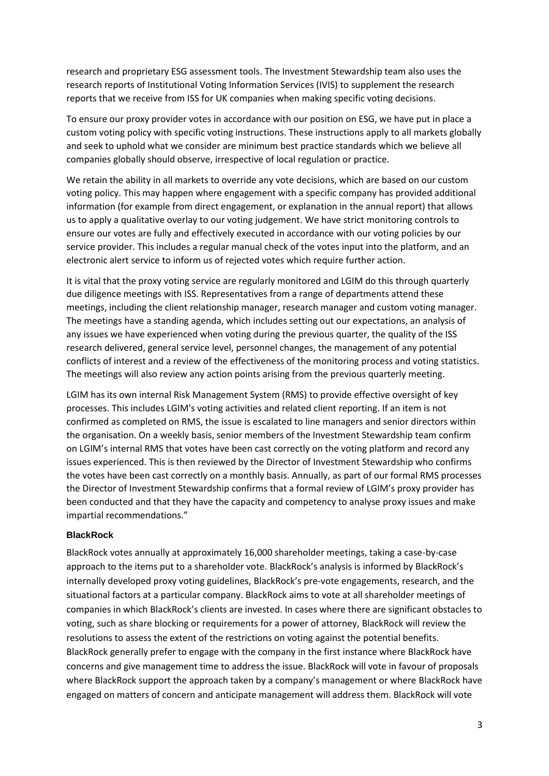research and proprietary ESG assessment tools. The Investment Stewardship team also uses the research reports of Institutional Voting Information Services (IVIS) to supplement the research reports that we receive from ISS for UK companies when making specific voting decisions.

To ensure our proxy provider votes in accordance with our position on ESG, we have put in place a custom voting policy with specific voting instructions. These instructions apply to all markets globally and seek to uphold what we consider are minimum best practice standards which we believe all companies globally should observe, irrespective of local regulation or practice.

We retain the ability in all markets to override any vote decisions, which are based on our custom voting policy. This may happen where engagement with a specific company has provided additional information (for example from direct engagement, or explanation in the annual report) that allows us to apply a qualitative overlay to our voting judgement. We have strict monitoring controls to ensure our votes are fully and effectively executed in accordance with our voting policies by our service provider. This includes a regular manual check of the votes input into the platform, and an electronic alert service to inform us of rejected votes which require further action.

It is vital that the proxy voting service are regularly monitored and LGIM do this through quarterly due diligence meetings with ISS. Representatives from a range of departments attend these meetings, including the client relationship manager, research manager and custom voting manager. The meetings have a standing agenda, which includes setting out our expectations, an analysis of any issues we have experienced when voting during the previous quarter, the quality of the ISS research delivered, general service level, personnel changes, the management of any potential conflicts of interest and a review of the effectiveness of the monitoring process and voting statistics. The meetings will also review any action points arising from the previous quarterly meeting.

LGIM has its own internal Risk Management System (RMS) to provide effective oversight of key processes. This includes LGIM's voting activities and related client reporting. If an item is not confirmed as completed on RMS, the issue is escalated to line managers and senior directors within the organisation. On a weekly basis, senior members of the Investment Stewardship team confirm on LGIM's internal RMS that votes have been cast correctly on the voting platform and record any issues experienced. This is then reviewed by the Director of Investment Stewardship who confirms the votes have been cast correctly on a monthly basis. Annually, as part of our formal RMS processes the Director of Investment Stewardship confirms that a formal review of LGIM's proxy provider has been conducted and that they have the capacity and competency to analyse proxy issues and make impartial recommendations."

#### **BlackRock**

BlackRock votes annually at approximately 16,000 shareholder meetings, taking a case-by-case approach to the items put to a shareholder vote. BlackRock's analysis is informed by BlackRock's internally developed proxy voting guidelines, BlackRock's pre-vote engagements, research, and the situational factors at a particular company. BlackRock aims to vote at all shareholder meetings of companies in which BlackRock's clients are invested. In cases where there are significant obstacles to voting, such as share blocking or requirements for a power of attorney, BlackRock will review the resolutions to assess the extent of the restrictions on voting against the potential benefits. BlackRock generally prefer to engage with the company in the first instance where BlackRock have concerns and give management time to address the issue. BlackRock will vote in favour of proposals where BlackRock support the approach taken by a company's management or where BlackRock have engaged on matters of concern and anticipate management will address them. BlackRock will vote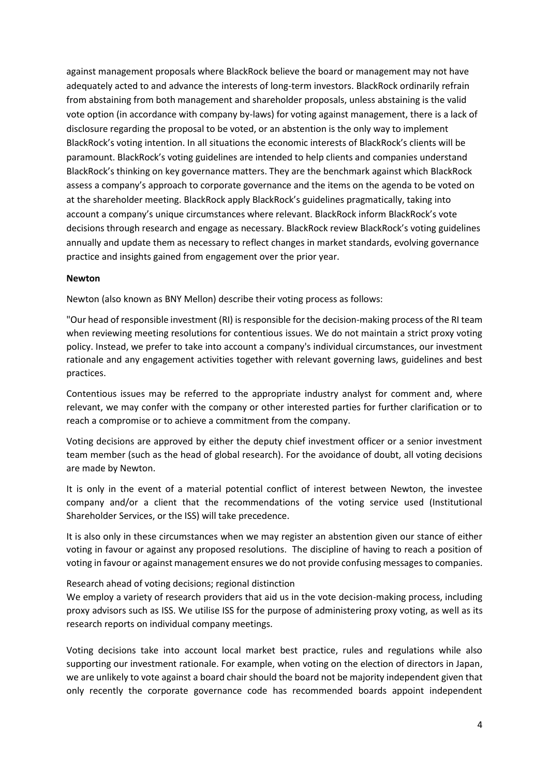against management proposals where BlackRock believe the board or management may not have adequately acted to and advance the interests of long-term investors. BlackRock ordinarily refrain from abstaining from both management and shareholder proposals, unless abstaining is the valid vote option (in accordance with company by-laws) for voting against management, there is a lack of disclosure regarding the proposal to be voted, or an abstention is the only way to implement BlackRock's voting intention. In all situations the economic interests of BlackRock's clients will be paramount. BlackRock's voting guidelines are intended to help clients and companies understand BlackRock's thinking on key governance matters. They are the benchmark against which BlackRock assess a company's approach to corporate governance and the items on the agenda to be voted on at the shareholder meeting. BlackRock apply BlackRock's guidelines pragmatically, taking into account a company's unique circumstances where relevant. BlackRock inform BlackRock's vote decisions through research and engage as necessary. BlackRock review BlackRock's voting guidelines annually and update them as necessary to reflect changes in market standards, evolving governance practice and insights gained from engagement over the prior year.

#### **Newton**

Newton (also known as BNY Mellon) describe their voting process as follows:

"Our head of responsible investment (RI) is responsible for the decision-making process of the RI team when reviewing meeting resolutions for contentious issues. We do not maintain a strict proxy voting policy. Instead, we prefer to take into account a company's individual circumstances, our investment rationale and any engagement activities together with relevant governing laws, guidelines and best practices.

Contentious issues may be referred to the appropriate industry analyst for comment and, where relevant, we may confer with the company or other interested parties for further clarification or to reach a compromise or to achieve a commitment from the company.

Voting decisions are approved by either the deputy chief investment officer or a senior investment team member (such as the head of global research). For the avoidance of doubt, all voting decisions are made by Newton.

It is only in the event of a material potential conflict of interest between Newton, the investee company and/or a client that the recommendations of the voting service used (Institutional Shareholder Services, or the ISS) will take precedence.

It is also only in these circumstances when we may register an abstention given our stance of either voting in favour or against any proposed resolutions. The discipline of having to reach a position of voting in favour or against management ensures we do not provide confusing messages to companies.

#### Research ahead of voting decisions; regional distinction

We employ a variety of research providers that aid us in the vote decision-making process, including proxy advisors such as ISS. We utilise ISS for the purpose of administering proxy voting, as well as its research reports on individual company meetings.

Voting decisions take into account local market best practice, rules and regulations while also supporting our investment rationale. For example, when voting on the election of directors in Japan, we are unlikely to vote against a board chair should the board not be majority independent given that only recently the corporate governance code has recommended boards appoint independent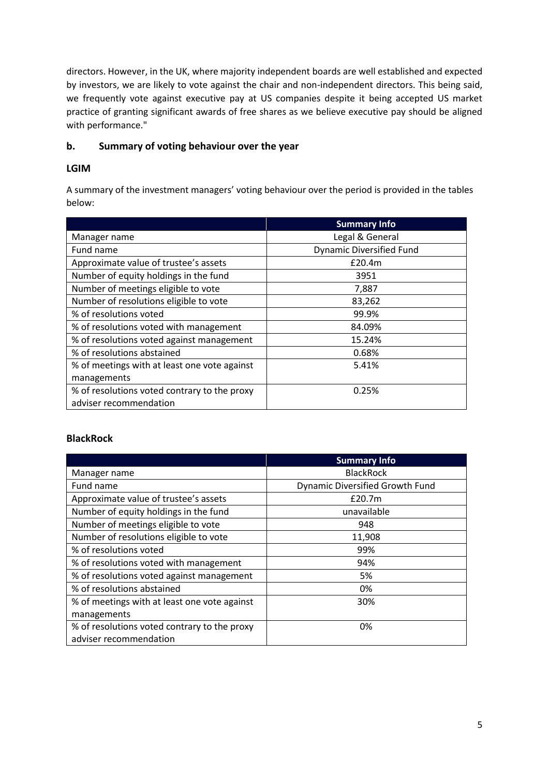directors. However, in the UK, where majority independent boards are well established and expected by investors, we are likely to vote against the chair and non-independent directors. This being said, we frequently vote against executive pay at US companies despite it being accepted US market practice of granting significant awards of free shares as we believe executive pay should be aligned with performance."

## **b. Summary of voting behaviour over the year**

## **LGIM**

A summary of the investment managers' voting behaviour over the period is provided in the tables below:

|                                              | <b>Summary Info</b>             |
|----------------------------------------------|---------------------------------|
| Manager name                                 | Legal & General                 |
| Fund name                                    | <b>Dynamic Diversified Fund</b> |
| Approximate value of trustee's assets        | £20.4m                          |
| Number of equity holdings in the fund        | 3951                            |
| Number of meetings eligible to vote          | 7,887                           |
| Number of resolutions eligible to vote       | 83,262                          |
| % of resolutions voted                       | 99.9%                           |
| % of resolutions voted with management       | 84.09%                          |
| % of resolutions voted against management    | 15.24%                          |
| % of resolutions abstained                   | 0.68%                           |
| % of meetings with at least one vote against | 5.41%                           |
| managements                                  |                                 |
| % of resolutions voted contrary to the proxy | 0.25%                           |
| adviser recommendation                       |                                 |

## **BlackRock**

|                                              | <b>Summary Info</b>             |
|----------------------------------------------|---------------------------------|
| Manager name                                 | <b>BlackRock</b>                |
| Fund name                                    | Dynamic Diversified Growth Fund |
| Approximate value of trustee's assets        | £20.7m                          |
| Number of equity holdings in the fund        | unavailable                     |
| Number of meetings eligible to vote          | 948                             |
| Number of resolutions eligible to vote       | 11,908                          |
| % of resolutions voted                       | 99%                             |
| % of resolutions voted with management       | 94%                             |
| % of resolutions voted against management    | 5%                              |
| % of resolutions abstained                   | 0%                              |
| % of meetings with at least one vote against | 30%                             |
| managements                                  |                                 |
| % of resolutions voted contrary to the proxy | 0%                              |
| adviser recommendation                       |                                 |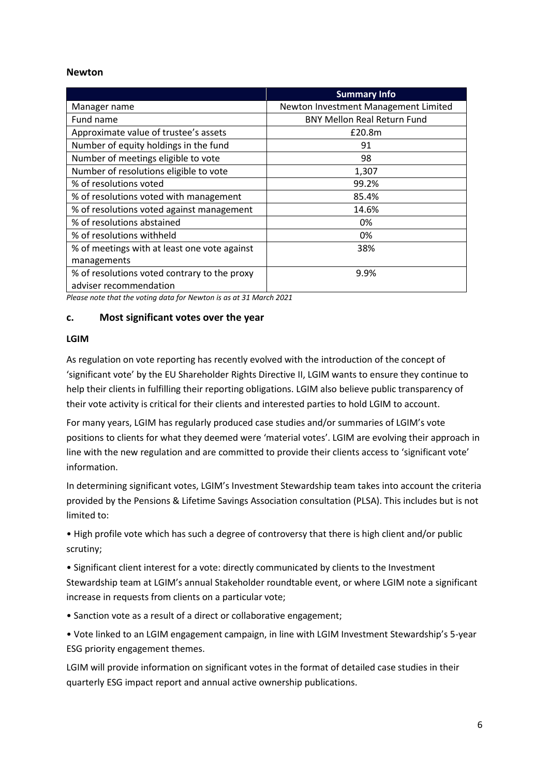#### **Newton**

|                                              | <b>Summary Info</b>                  |
|----------------------------------------------|--------------------------------------|
| Manager name                                 | Newton Investment Management Limited |
| Fund name                                    | <b>BNY Mellon Real Return Fund</b>   |
| Approximate value of trustee's assets        | £20.8m                               |
| Number of equity holdings in the fund        | 91                                   |
| Number of meetings eligible to vote          | 98                                   |
| Number of resolutions eligible to vote       | 1,307                                |
| % of resolutions voted                       | 99.2%                                |
| % of resolutions voted with management       | 85.4%                                |
| % of resolutions voted against management    | 14.6%                                |
| % of resolutions abstained                   | 0%                                   |
| % of resolutions withheld                    | 0%                                   |
| % of meetings with at least one vote against | 38%                                  |
| managements                                  |                                      |
| % of resolutions voted contrary to the proxy | 9.9%                                 |
| adviser recommendation                       |                                      |

*Please note that the voting data for Newton is as at 31 March 2021*

### **c. Most significant votes over the year**

#### **LGIM**

As regulation on vote reporting has recently evolved with the introduction of the concept of 'significant vote' by the EU Shareholder Rights Directive II, LGIM wants to ensure they continue to help their clients in fulfilling their reporting obligations. LGIM also believe public transparency of their vote activity is critical for their clients and interested parties to hold LGIM to account.

For many years, LGIM has regularly produced case studies and/or summaries of LGIM's vote positions to clients for what they deemed were 'material votes'. LGIM are evolving their approach in line with the new regulation and are committed to provide their clients access to 'significant vote' information.

In determining significant votes, LGIM's Investment Stewardship team takes into account the criteria provided by the Pensions & Lifetime Savings Association consultation (PLSA). This includes but is not limited to:

• High profile vote which has such a degree of controversy that there is high client and/or public scrutiny;

• Significant client interest for a vote: directly communicated by clients to the Investment Stewardship team at LGIM's annual Stakeholder roundtable event, or where LGIM note a significant increase in requests from clients on a particular vote;

• Sanction vote as a result of a direct or collaborative engagement;

• Vote linked to an LGIM engagement campaign, in line with LGIM Investment Stewardship's 5-year ESG priority engagement themes.

LGIM will provide information on significant votes in the format of detailed case studies in their quarterly ESG impact report and annual active ownership publications.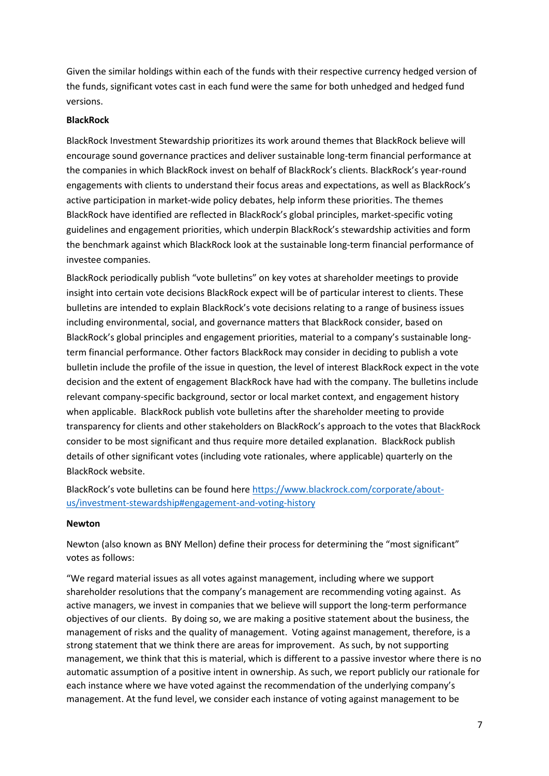Given the similar holdings within each of the funds with their respective currency hedged version of the funds, significant votes cast in each fund were the same for both unhedged and hedged fund versions.

### **BlackRock**

BlackRock Investment Stewardship prioritizes its work around themes that BlackRock believe will encourage sound governance practices and deliver sustainable long-term financial performance at the companies in which BlackRock invest on behalf of BlackRock's clients. BlackRock's year-round engagements with clients to understand their focus areas and expectations, as well as BlackRock's active participation in market-wide policy debates, help inform these priorities. The themes BlackRock have identified are reflected in BlackRock's global principles, market-specific voting guidelines and engagement priorities, which underpin BlackRock's stewardship activities and form the benchmark against which BlackRock look at the sustainable long-term financial performance of investee companies.

BlackRock periodically publish "vote bulletins" on key votes at shareholder meetings to provide insight into certain vote decisions BlackRock expect will be of particular interest to clients. These bulletins are intended to explain BlackRock's vote decisions relating to a range of business issues including environmental, social, and governance matters that BlackRock consider, based on BlackRock's global principles and engagement priorities, material to a company's sustainable longterm financial performance. Other factors BlackRock may consider in deciding to publish a vote bulletin include the profile of the issue in question, the level of interest BlackRock expect in the vote decision and the extent of engagement BlackRock have had with the company. The bulletins include relevant company-specific background, sector or local market context, and engagement history when applicable. BlackRock publish vote bulletins after the shareholder meeting to provide transparency for clients and other stakeholders on BlackRock's approach to the votes that BlackRock consider to be most significant and thus require more detailed explanation. BlackRock publish details of other significant votes (including vote rationales, where applicable) quarterly on the BlackRock website.

BlackRock's vote bulletins can be found here [https://www.blackrock.com/corporate/about](https://www.blackrock.com/corporate/about-us/investment-stewardship#engagement-and-voting-history)[us/investment-stewardship#engagement-and-voting-history](https://www.blackrock.com/corporate/about-us/investment-stewardship#engagement-and-voting-history)

#### **Newton**

Newton (also known as BNY Mellon) define their process for determining the "most significant" votes as follows:

"We regard material issues as all votes against management, including where we support shareholder resolutions that the company's management are recommending voting against. As active managers, we invest in companies that we believe will support the long-term performance objectives of our clients. By doing so, we are making a positive statement about the business, the management of risks and the quality of management. Voting against management, therefore, is a strong statement that we think there are areas for improvement. As such, by not supporting management, we think that this is material, which is different to a passive investor where there is no automatic assumption of a positive intent in ownership. As such, we report publicly our rationale for each instance where we have voted against the recommendation of the underlying company's management. At the fund level, we consider each instance of voting against management to be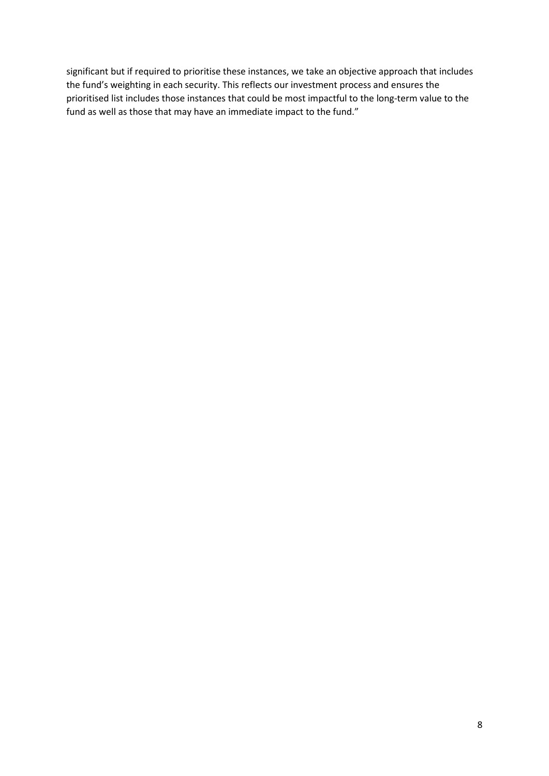significant but if required to prioritise these instances, we take an objective approach that includes the fund's weighting in each security. This reflects our investment process and ensures the prioritised list includes those instances that could be most impactful to the long-term value to the fund as well as those that may have an immediate impact to the fund."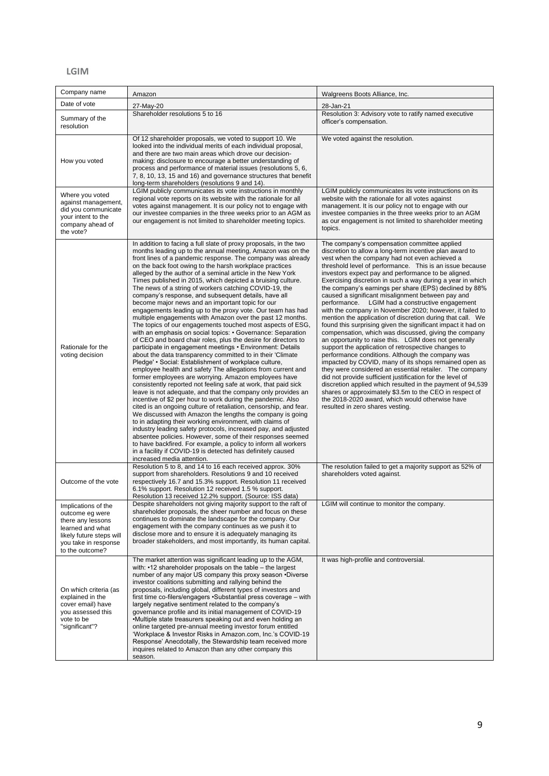#### **LGIM**

| Company name                                                                                                                                           | Amazon                                                                                                                                                                                                                                                                                                                                                                                                                                                                                                                                                                                                                                                                                                                                                                                                                                                                                                                                                                                                                                                                                                                                                                                                                                                                                                                                                                                                                                                                                                                                                                                                                                                                                                                                                                                                                                                                                          | Walgreens Boots Alliance, Inc.                                                                                                                                                                                                                                                                                                                                                                                                                                                                                                                                                                                                                                                                                                                                                                                                                                                                                                                                                                                                                                                                                                                                                                                                                                                                                                      |
|--------------------------------------------------------------------------------------------------------------------------------------------------------|-------------------------------------------------------------------------------------------------------------------------------------------------------------------------------------------------------------------------------------------------------------------------------------------------------------------------------------------------------------------------------------------------------------------------------------------------------------------------------------------------------------------------------------------------------------------------------------------------------------------------------------------------------------------------------------------------------------------------------------------------------------------------------------------------------------------------------------------------------------------------------------------------------------------------------------------------------------------------------------------------------------------------------------------------------------------------------------------------------------------------------------------------------------------------------------------------------------------------------------------------------------------------------------------------------------------------------------------------------------------------------------------------------------------------------------------------------------------------------------------------------------------------------------------------------------------------------------------------------------------------------------------------------------------------------------------------------------------------------------------------------------------------------------------------------------------------------------------------------------------------------------------------|-------------------------------------------------------------------------------------------------------------------------------------------------------------------------------------------------------------------------------------------------------------------------------------------------------------------------------------------------------------------------------------------------------------------------------------------------------------------------------------------------------------------------------------------------------------------------------------------------------------------------------------------------------------------------------------------------------------------------------------------------------------------------------------------------------------------------------------------------------------------------------------------------------------------------------------------------------------------------------------------------------------------------------------------------------------------------------------------------------------------------------------------------------------------------------------------------------------------------------------------------------------------------------------------------------------------------------------|
| Date of vote                                                                                                                                           | 27-May-20                                                                                                                                                                                                                                                                                                                                                                                                                                                                                                                                                                                                                                                                                                                                                                                                                                                                                                                                                                                                                                                                                                                                                                                                                                                                                                                                                                                                                                                                                                                                                                                                                                                                                                                                                                                                                                                                                       | 28-Jan-21                                                                                                                                                                                                                                                                                                                                                                                                                                                                                                                                                                                                                                                                                                                                                                                                                                                                                                                                                                                                                                                                                                                                                                                                                                                                                                                           |
| Summary of the<br>resolution                                                                                                                           | Shareholder resolutions 5 to 16                                                                                                                                                                                                                                                                                                                                                                                                                                                                                                                                                                                                                                                                                                                                                                                                                                                                                                                                                                                                                                                                                                                                                                                                                                                                                                                                                                                                                                                                                                                                                                                                                                                                                                                                                                                                                                                                 | Resolution 3: Advisory vote to ratify named executive<br>officer's compensation.                                                                                                                                                                                                                                                                                                                                                                                                                                                                                                                                                                                                                                                                                                                                                                                                                                                                                                                                                                                                                                                                                                                                                                                                                                                    |
| How you voted                                                                                                                                          | Of 12 shareholder proposals, we voted to support 10. We<br>looked into the individual merits of each individual proposal,<br>and there are two main areas which drove our decision-<br>making: disclosure to encourage a better understanding of<br>process and performance of material issues (resolutions 5, 6,<br>7, 8, 10, 13, 15 and 16) and governance structures that benefit<br>long-term shareholders (resolutions 9 and 14).                                                                                                                                                                                                                                                                                                                                                                                                                                                                                                                                                                                                                                                                                                                                                                                                                                                                                                                                                                                                                                                                                                                                                                                                                                                                                                                                                                                                                                                          | We voted against the resolution.                                                                                                                                                                                                                                                                                                                                                                                                                                                                                                                                                                                                                                                                                                                                                                                                                                                                                                                                                                                                                                                                                                                                                                                                                                                                                                    |
| Where you voted<br>against management,<br>did you communicate<br>vour intent to the<br>company ahead of<br>the vote?                                   | LGIM publicly communicates its vote instructions in monthly<br>regional vote reports on its website with the rationale for all<br>votes against management. It is our policy not to engage with<br>our investee companies in the three weeks prior to an AGM as<br>our engagement is not limited to shareholder meeting topics.                                                                                                                                                                                                                                                                                                                                                                                                                                                                                                                                                                                                                                                                                                                                                                                                                                                                                                                                                                                                                                                                                                                                                                                                                                                                                                                                                                                                                                                                                                                                                                 | LGIM publicly communicates its vote instructions on its<br>website with the rationale for all votes against<br>management. It is our policy not to engage with our<br>investee companies in the three weeks prior to an AGM<br>as our engagement is not limited to shareholder meeting<br>topics.                                                                                                                                                                                                                                                                                                                                                                                                                                                                                                                                                                                                                                                                                                                                                                                                                                                                                                                                                                                                                                   |
| Rationale for the<br>voting decision                                                                                                                   | In addition to facing a full slate of proxy proposals, in the two<br>months leading up to the annual meeting, Amazon was on the<br>front lines of a pandemic response. The company was already<br>on the back foot owing to the harsh workplace practices<br>alleged by the author of a seminal article in the New York<br>Times published in 2015, which depicted a bruising culture.<br>The news of a string of workers catching COVID-19, the<br>company's response, and subsequent details, have all<br>become major news and an important topic for our<br>engagements leading up to the proxy vote. Our team has had<br>multiple engagements with Amazon over the past 12 months.<br>The topics of our engagements touched most aspects of ESG,<br>with an emphasis on social topics: • Governance: Separation<br>of CEO and board chair roles, plus the desire for directors to<br>participate in engagement meetings • Environment: Details<br>about the data transparency committed to in their 'Climate<br>Pledge' • Social: Establishment of workplace culture,<br>employee health and safety The allegations from current and<br>former employees are worrying. Amazon employees have<br>consistently reported not feeling safe at work, that paid sick<br>leave is not adequate, and that the company only provides an<br>incentive of \$2 per hour to work during the pandemic. Also<br>cited is an ongoing culture of retaliation, censorship, and fear.<br>We discussed with Amazon the lengths the company is going<br>to in adapting their working environment, with claims of<br>industry leading safety protocols, increased pay, and adjusted<br>absentee policies. However, some of their responses seemed<br>to have backfired. For example, a policy to inform all workers<br>in a facility if COVID-19 is detected has definitely caused<br>increased media attention. | The company's compensation committee applied<br>discretion to allow a long-term incentive plan award to<br>vest when the company had not even achieved a<br>threshold level of performance. This is an issue because<br>investors expect pay and performance to be aligned.<br>Exercising discretion in such a way during a year in which<br>the company's earnings per share (EPS) declined by 88%<br>caused a significant misalignment between pay and<br>performance. LGIM had a constructive engagement<br>with the company in November 2020; however, it failed to<br>mention the application of discretion during that call. We<br>found this surprising given the significant impact it had on<br>compensation, which was discussed, giving the company<br>an opportunity to raise this. LGIM does not generally<br>support the application of retrospective changes to<br>performance conditions. Although the company was<br>impacted by COVID, many of its shops remained open as<br>they were considered an essential retailer. The company<br>did not provide sufficient justification for the level of<br>discretion applied which resulted in the payment of 94,539<br>shares or approximately \$3.5m to the CEO in respect of<br>the 2018-2020 award, which would otherwise have<br>resulted in zero shares vesting. |
| Outcome of the vote                                                                                                                                    | Resolution 5 to 8, and 14 to 16 each received approx. 30%<br>support from shareholders. Resolutions 9 and 10 received<br>respectively 16.7 and 15.3% support. Resolution 11 received<br>6.1% support. Resolution 12 received 1.5 % support.<br>Resolution 13 received 12.2% support. (Source: ISS data)                                                                                                                                                                                                                                                                                                                                                                                                                                                                                                                                                                                                                                                                                                                                                                                                                                                                                                                                                                                                                                                                                                                                                                                                                                                                                                                                                                                                                                                                                                                                                                                         | The resolution failed to get a majority support as 52% of<br>shareholders voted against.                                                                                                                                                                                                                                                                                                                                                                                                                                                                                                                                                                                                                                                                                                                                                                                                                                                                                                                                                                                                                                                                                                                                                                                                                                            |
| Implications of the<br>outcome eg were<br>there any lessons<br>learned and what<br>likely future steps will<br>you take in response<br>to the outcome? | Despite shareholders not giving majority support to the raft of<br>shareholder proposals, the sheer number and focus on these<br>continues to dominate the landscape for the company. Our<br>engagement with the company continues as we push it to<br>disclose more and to ensure it is adequately managing its<br>broader stakeholders, and most importantly, its human capital.                                                                                                                                                                                                                                                                                                                                                                                                                                                                                                                                                                                                                                                                                                                                                                                                                                                                                                                                                                                                                                                                                                                                                                                                                                                                                                                                                                                                                                                                                                              | LGIM will continue to monitor the company.                                                                                                                                                                                                                                                                                                                                                                                                                                                                                                                                                                                                                                                                                                                                                                                                                                                                                                                                                                                                                                                                                                                                                                                                                                                                                          |
| On which criteria (as<br>explained in the<br>cover email) have<br>you assessed this<br>vote to be<br>"significant"?                                    | The market attention was significant leading up to the AGM,<br>with: •12 shareholder proposals on the table – the largest<br>number of any major US company this proxy season . Diverse<br>investor coalitions submitting and rallying behind the<br>proposals, including global, different types of investors and<br>first time co-filers/engagers • Substantial press coverage – with<br>largely negative sentiment related to the company's<br>governance profile and its initial management of COVID-19<br>•Multiple state treasurers speaking out and even holding an<br>online targeted pre-annual meeting investor forum entitled<br>'Workplace & Investor Risks in Amazon.com, Inc.'s COVID-19<br>Response' Anecdotally, the Stewardship team received more<br>inquires related to Amazon than any other company this<br>season.                                                                                                                                                                                                                                                                                                                                                                                                                                                                                                                                                                                                                                                                                                                                                                                                                                                                                                                                                                                                                                                        | It was high-profile and controversial.                                                                                                                                                                                                                                                                                                                                                                                                                                                                                                                                                                                                                                                                                                                                                                                                                                                                                                                                                                                                                                                                                                                                                                                                                                                                                              |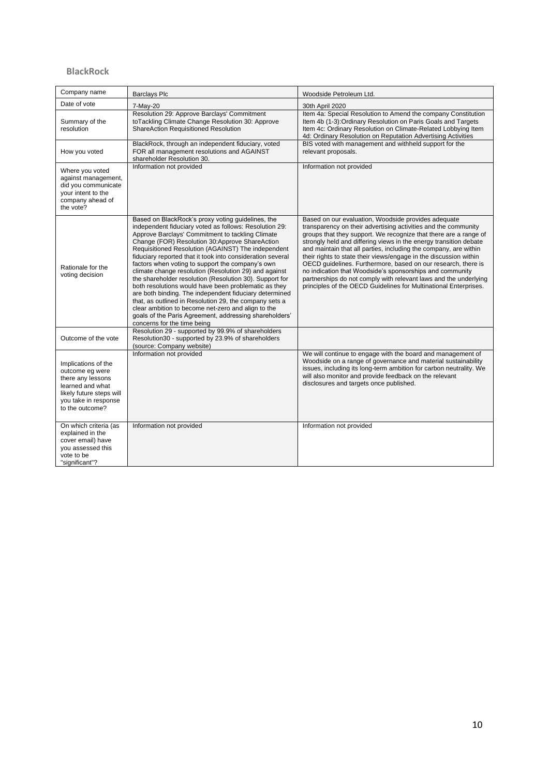#### **BlackRock**

| Company name                                                                                                                                           | <b>Barclays Plc</b>                                                                                                                                                                                                                                                                                                                                                                                                                                                                                                                                                                                                                                                                                                                                                                                                                      | Woodside Petroleum Ltd.                                                                                                                                                                                                                                                                                                                                                                                                                                                                                                                                                                                                                                                      |
|--------------------------------------------------------------------------------------------------------------------------------------------------------|------------------------------------------------------------------------------------------------------------------------------------------------------------------------------------------------------------------------------------------------------------------------------------------------------------------------------------------------------------------------------------------------------------------------------------------------------------------------------------------------------------------------------------------------------------------------------------------------------------------------------------------------------------------------------------------------------------------------------------------------------------------------------------------------------------------------------------------|------------------------------------------------------------------------------------------------------------------------------------------------------------------------------------------------------------------------------------------------------------------------------------------------------------------------------------------------------------------------------------------------------------------------------------------------------------------------------------------------------------------------------------------------------------------------------------------------------------------------------------------------------------------------------|
| Date of vote                                                                                                                                           | 7-May-20                                                                                                                                                                                                                                                                                                                                                                                                                                                                                                                                                                                                                                                                                                                                                                                                                                 | 30th April 2020                                                                                                                                                                                                                                                                                                                                                                                                                                                                                                                                                                                                                                                              |
| Summary of the<br>resolution                                                                                                                           | Resolution 29: Approve Barclays' Commitment<br>toTackling Climate Change Resolution 30: Approve<br><b>ShareAction Requisitioned Resolution</b>                                                                                                                                                                                                                                                                                                                                                                                                                                                                                                                                                                                                                                                                                           | Item 4a: Special Resolution to Amend the company Constitution<br>Item 4b (1-3): Ordinary Resolution on Paris Goals and Targets<br>Item 4c: Ordinary Resolution on Climate-Related Lobbying Item<br>4d: Ordinary Resolution on Reputation Advertising Activities                                                                                                                                                                                                                                                                                                                                                                                                              |
| How you voted                                                                                                                                          | BlackRock, through an independent fiduciary, voted<br>FOR all management resolutions and AGAINST<br>shareholder Resolution 30.                                                                                                                                                                                                                                                                                                                                                                                                                                                                                                                                                                                                                                                                                                           | BIS voted with management and withheld support for the<br>relevant proposals.                                                                                                                                                                                                                                                                                                                                                                                                                                                                                                                                                                                                |
| Where you voted<br>against management,<br>did you communicate<br>your intent to the<br>company ahead of<br>the vote?                                   | Information not provided                                                                                                                                                                                                                                                                                                                                                                                                                                                                                                                                                                                                                                                                                                                                                                                                                 | Information not provided                                                                                                                                                                                                                                                                                                                                                                                                                                                                                                                                                                                                                                                     |
| Rationale for the<br>voting decision                                                                                                                   | Based on BlackRock's proxy voting guidelines, the<br>independent fiduciary voted as follows: Resolution 29:<br>Approve Barclays' Commitment to tackling Climate<br>Change (FOR) Resolution 30:Approve ShareAction<br>Requisitioned Resolution (AGAINST) The independent<br>fiduciary reported that it took into consideration several<br>factors when voting to support the company's own<br>climate change resolution (Resolution 29) and against<br>the shareholder resolution (Resolution 30). Support for<br>both resolutions would have been problematic as they<br>are both binding. The independent fiduciary determined<br>that, as outlined in Resolution 29, the company sets a<br>clear ambition to become net-zero and align to the<br>goals of the Paris Agreement, addressing shareholders'<br>concerns for the time being | Based on our evaluation, Woodside provides adequate<br>transparency on their advertising activities and the community<br>groups that they support. We recognize that there are a range of<br>strongly held and differing views in the energy transition debate<br>and maintain that all parties, including the company, are within<br>their rights to state their views/engage in the discussion within<br>OECD quidelines. Furthermore, based on our research, there is<br>no indication that Woodside's sponsorships and community<br>partnerships do not comply with relevant laws and the underlying<br>principles of the OECD Guidelines for Multinational Enterprises. |
| Outcome of the vote                                                                                                                                    | Resolution 29 - supported by 99.9% of shareholders<br>Resolution30 - supported by 23.9% of shareholders<br>(source: Company website)                                                                                                                                                                                                                                                                                                                                                                                                                                                                                                                                                                                                                                                                                                     |                                                                                                                                                                                                                                                                                                                                                                                                                                                                                                                                                                                                                                                                              |
| Implications of the<br>outcome eg were<br>there any lessons<br>learned and what<br>likely future steps will<br>you take in response<br>to the outcome? | Information not provided                                                                                                                                                                                                                                                                                                                                                                                                                                                                                                                                                                                                                                                                                                                                                                                                                 | We will continue to engage with the board and management of<br>Woodside on a range of governance and material sustainability<br>issues, including its long-term ambition for carbon neutrality. We<br>will also monitor and provide feedback on the relevant<br>disclosures and targets once published.                                                                                                                                                                                                                                                                                                                                                                      |
| On which criteria (as<br>explained in the<br>cover email) have<br>you assessed this<br>vote to be<br>"significant"?                                    | Information not provided                                                                                                                                                                                                                                                                                                                                                                                                                                                                                                                                                                                                                                                                                                                                                                                                                 | Information not provided                                                                                                                                                                                                                                                                                                                                                                                                                                                                                                                                                                                                                                                     |